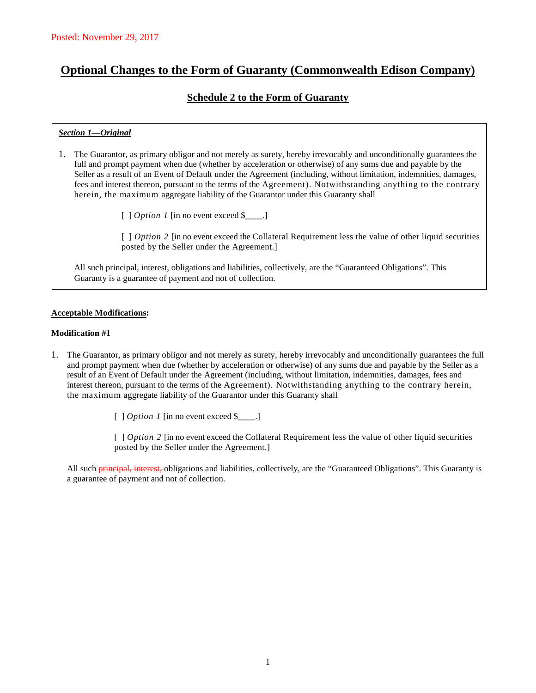# **Optional Changes to the Form of Guaranty (Commonwealth Edison Company)**

## **Schedule 2 to the Form of Guaranty**

## *Section 1—Original*

- 1. The Guarantor, as primary obligor and not merely as surety, hereby irrevocably and unconditionally guarantees the full and prompt payment when due (whether by acceleration or otherwise) of any sums due and payable by the Seller as a result of an Event of Default under the Agreement (including, without limitation, indemnities, damages, fees and interest thereon, pursuant to the terms of the Agreement). Notwithstanding anything to the contrary herein, the maximum aggregate liability of the Guarantor under this Guaranty shall
	- [ ] *Option 1* [in no event exceed \$\_\_\_\_.]

[ ] *Option 2* [in no event exceed the Collateral Requirement less the value of other liquid securities posted by the Seller under the Agreement.]

All such principal, interest, obligations and liabilities, collectively, are the "Guaranteed Obligations". This Guaranty is a guarantee of payment and not of collection.

#### **Acceptable Modifications:**

#### **Modification #1**

1. The Guarantor, as primary obligor and not merely as surety, hereby irrevocably and unconditionally guarantees the full and prompt payment when due (whether by acceleration or otherwise) of any sums due and payable by the Seller as a result of an Event of Default under the Agreement (including, without limitation, indemnities, damages, fees and interest thereon, pursuant to the terms of the Agreement). Notwithstanding anything to the contrary herein, the maximum aggregate liability of the Guarantor under this Guaranty shall

[ ] *Option 1* [in no event exceed \$\_\_\_\_.]

[ *] Option 2* [in no event exceed the Collateral Requirement less the value of other liquid securities posted by the Seller under the Agreement.]

All such **principal, interest,** obligations and liabilities, collectively, are the "Guaranteed Obligations". This Guaranty is a guarantee of payment and not of collection.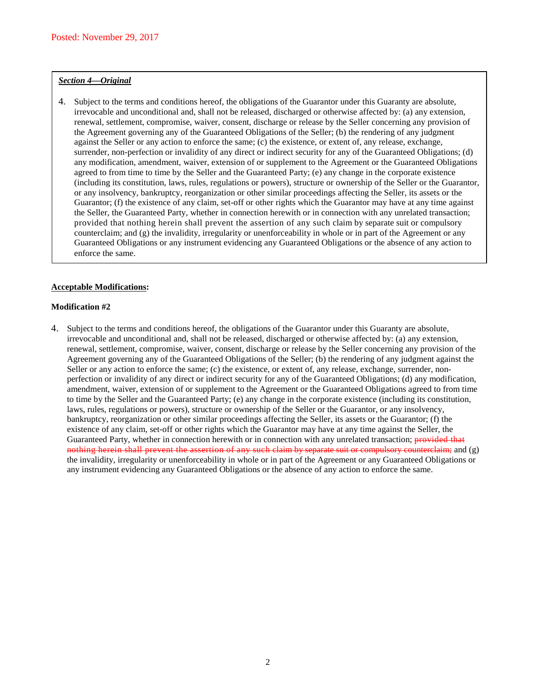#### *Section 4—Original*

4. Subject to the terms and conditions hereof, the obligations of the Guarantor under this Guaranty are absolute, irrevocable and unconditional and, shall not be released, discharged or otherwise affected by: (a) any extension, renewal, settlement, compromise, waiver, consent, discharge or release by the Seller concerning any provision of the Agreement governing any of the Guaranteed Obligations of the Seller; (b) the rendering of any judgment against the Seller or any action to enforce the same; (c) the existence, or extent of, any release, exchange, surrender, non-perfection or invalidity of any direct or indirect security for any of the Guaranteed Obligations; (d) any modification, amendment, waiver, extension of or supplement to the Agreement or the Guaranteed Obligations agreed to from time to time by the Seller and the Guaranteed Party; (e) any change in the corporate existence (including its constitution, laws, rules, regulations or powers), structure or ownership of the Seller or the Guarantor, or any insolvency, bankruptcy, reorganization or other similar proceedings affecting the Seller, its assets or the Guarantor; (f) the existence of any claim, set-off or other rights which the Guarantor may have at any time against the Seller, the Guaranteed Party, whether in connection herewith or in connection with any unrelated transaction; provided that nothing herein shall prevent the assertion of any such claim by separate suit or compulsory counterclaim; and (g) the invalidity, irregularity or unenforceability in whole or in part of the Agreement or any Guaranteed Obligations or any instrument evidencing any Guaranteed Obligations or the absence of any action to enforce the same.

#### **Acceptable Modifications:**

#### **Modification #2**

4. Subject to the terms and conditions hereof, the obligations of the Guarantor under this Guaranty are absolute, irrevocable and unconditional and, shall not be released, discharged or otherwise affected by: (a) any extension, renewal, settlement, compromise, waiver, consent, discharge or release by the Seller concerning any provision of the Agreement governing any of the Guaranteed Obligations of the Seller; (b) the rendering of any judgment against the Seller or any action to enforce the same; (c) the existence, or extent of, any release, exchange, surrender, nonperfection or invalidity of any direct or indirect security for any of the Guaranteed Obligations; (d) any modification, amendment, waiver, extension of or supplement to the Agreement or the Guaranteed Obligations agreed to from time to time by the Seller and the Guaranteed Party; (e) any change in the corporate existence (including its constitution, laws, rules, regulations or powers), structure or ownership of the Seller or the Guarantor, or any insolvency, bankruptcy, reorganization or other similar proceedings affecting the Seller, its assets or the Guarantor; (f) the existence of any claim, set-off or other rights which the Guarantor may have at any time against the Seller, the Guaranteed Party, whether in connection herewith or in connection with any unrelated transaction; provided that nothing herein shall prevent the assertion of any such claim by separate suit or compulsory counterclaim; and (g) the invalidity, irregularity or unenforceability in whole or in part of the Agreement or any Guaranteed Obligations or any instrument evidencing any Guaranteed Obligations or the absence of any action to enforce the same.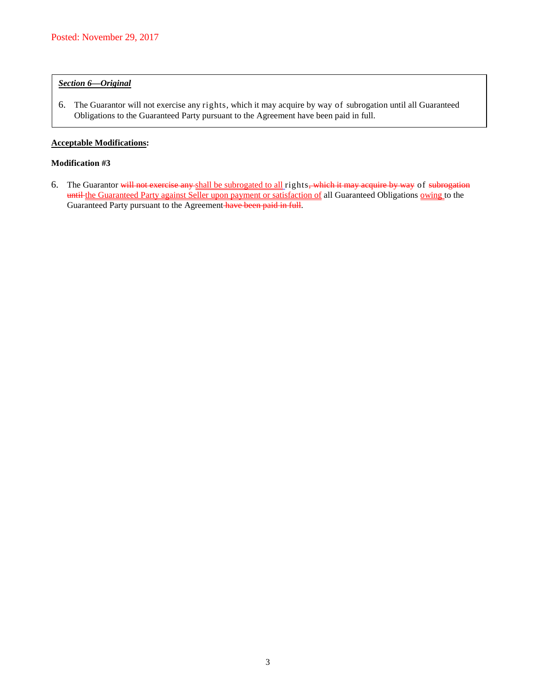## *Section 6—Original*

6. The Guarantor will not exercise any rights, which it may acquire by way of subrogation until all Guaranteed Obligations to the Guaranteed Party pursuant to the Agreement have been paid in full.

#### **Acceptable Modifications:**

#### **Modification #3**

6. The Guarantor will not exercise any shall be subrogated to all rights, which it may acquire by way of subrogation until the Guaranteed Party against Seller upon payment or satisfaction of all Guaranteed Obligations owing to the Guaranteed Party pursuant to the Agreement have been paid in full.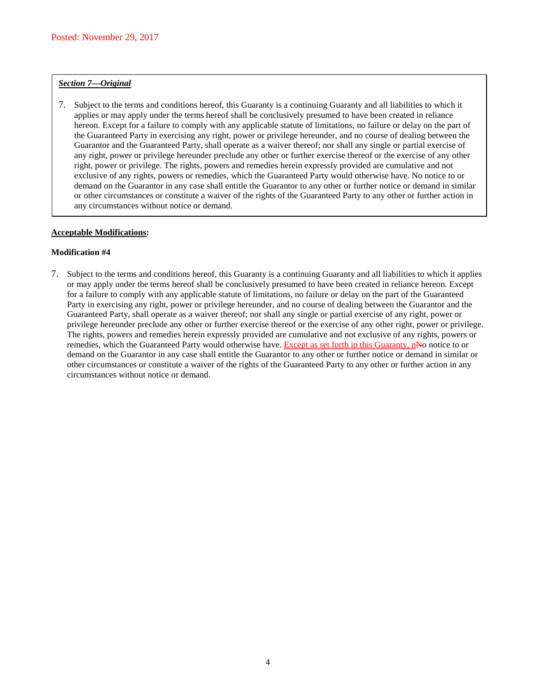#### *Section 7—Original*

7. Subject to the terms and conditions hereof, this Guaranty is a continuing Guaranty and all liabilities to which it applies or may apply under the terms hereof shall be conclusively presumed to have been created in reliance hereon. Except for a failure to comply with any applicable statute of limitations, no failure or delay on the part of the Guaranteed Party in exercising any right, power or privilege hereunder, and no course of dealing between the Guarantor and the Guaranteed Party, shall operate as a waiver thereof; nor shall any single or partial exercise of any right, power or privilege hereunder preclude any other or further exercise thereof or the exercise of any other right, power or privilege. The rights, powers and remedies herein expressly provided are cumulative and not exclusive of any rights, powers or remedies, which the Guaranteed Party would otherwise have. No notice to or demand on the Guarantor in any case shall entitle the Guarantor to any other or further notice or demand in similar or other circumstances or constitute a waiver of the rights of the Guaranteed Party to any other or further action in any circumstances without notice or demand.

#### **Acceptable Modifications:**

#### **Modification #4**

7. Subject to the terms and conditions hereof, this Guaranty is a continuing Guaranty and all liabilities to which it applies or may apply under the terms hereof shall be conclusively presumed to have been created in reliance hereon. Except for a failure to comply with any applicable statute of limitations, no failure or delay on the part of the Guaranteed Party in exercising any right, power or privilege hereunder, and no course of dealing between the Guarantor and the Guaranteed Party, shall operate as a waiver thereof; nor shall any single or partial exercise of any right, power or privilege hereunder preclude any other or further exercise thereof or the exercise of any other right, power or privilege. The rights, powers and remedies herein expressly provided are cumulative and not exclusive of any rights, powers or remedies, which the Guaranteed Party would otherwise have. Except as set forth in this Guaranty, nNo notice to or demand on the Guarantor in any case shall entitle the Guarantor to any other or further notice or demand in similar or other circumstances or constitute a waiver of the rights of the Guaranteed Party to any other or further action in any circumstances without notice or demand.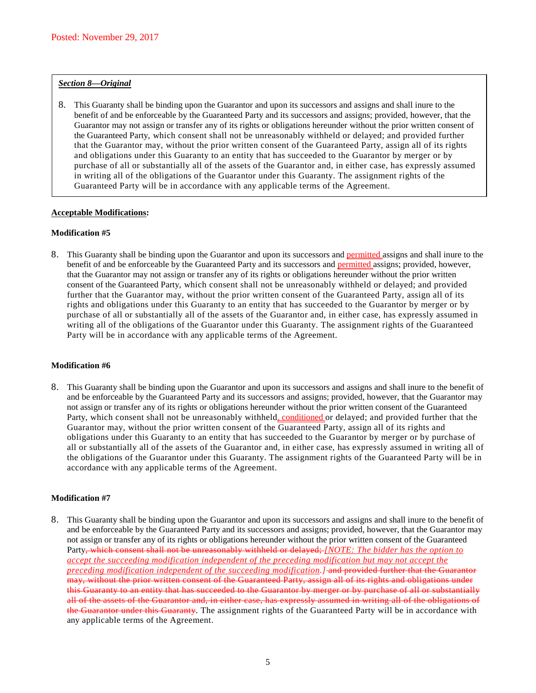#### *Section 8—Original*

8. This Guaranty shall be binding upon the Guarantor and upon its successors and assigns and shall inure to the benefit of and be enforceable by the Guaranteed Party and its successors and assigns; provided, however, that the Guarantor may not assign or transfer any of its rights or obligations hereunder without the prior written consent of the Guaranteed Party, which consent shall not be unreasonably withheld or delayed; and provided further that the Guarantor may, without the prior written consent of the Guaranteed Party, assign all of its rights and obligations under this Guaranty to an entity that has succeeded to the Guarantor by merger or by purchase of all or substantially all of the assets of the Guarantor and, in either case, has expressly assumed in writing all of the obligations of the Guarantor under this Guaranty. The assignment rights of the Guaranteed Party will be in accordance with any applicable terms of the Agreement.

## **Acceptable Modifications:**

#### **Modification #5**

8. This Guaranty shall be binding upon the Guarantor and upon its successors and permitted assigns and shall inure to the benefit of and be enforceable by the Guaranteed Party and its successors and **permitted** assigns; provided, however, that the Guarantor may not assign or transfer any of its rights or obligations hereunder without the prior written consent of the Guaranteed Party, which consent shall not be unreasonably withheld or delayed; and provided further that the Guarantor may, without the prior written consent of the Guaranteed Party, assign all of its rights and obligations under this Guaranty to an entity that has succeeded to the Guarantor by merger or by purchase of all or substantially all of the assets of the Guarantor and, in either case, has expressly assumed in writing all of the obligations of the Guarantor under this Guaranty. The assignment rights of the Guaranteed Party will be in accordance with any applicable terms of the Agreement.

#### **Modification #6**

8. This Guaranty shall be binding upon the Guarantor and upon its successors and assigns and shall inure to the benefit of and be enforceable by the Guaranteed Party and its successors and assigns; provided, however, that the Guarantor may not assign or transfer any of its rights or obligations hereunder without the prior written consent of the Guaranteed Party, which consent shall not be unreasonably withheld, conditioned or delayed; and provided further that the Guarantor may, without the prior written consent of the Guaranteed Party, assign all of its rights and obligations under this Guaranty to an entity that has succeeded to the Guarantor by merger or by purchase of all or substantially all of the assets of the Guarantor and, in either case, has expressly assumed in writing all of the obligations of the Guarantor under this Guaranty. The assignment rights of the Guaranteed Party will be in accordance with any applicable terms of the Agreement.

#### **Modification #7**

8. This Guaranty shall be binding upon the Guarantor and upon its successors and assigns and shall inure to the benefit of and be enforceable by the Guaranteed Party and its successors and assigns; provided, however, that the Guarantor may not assign or transfer any of its rights or obligations hereunder without the prior written consent of the Guaranteed Party, which consent shall not be unreasonably withheld or delayed; *[NOTE: The bidder has the option to accept the succeeding modification independent of the preceding modification but may not accept the preceding modification independent of the succeeding modification.]* and provided further that the Guarantor may, without the prior written consent of the Guaranteed Party, assign all of its rights and obligations under this Guaranty to an entity that has succeeded to the Guarantor by merger or by purchase of all or substantially all of the assets of the Guarantor and, in either case, has expressly assumed in writing all of the obligations of the Guarantor under this Guaranty. The assignment rights of the Guaranteed Party will be in accordance with any applicable terms of the Agreement.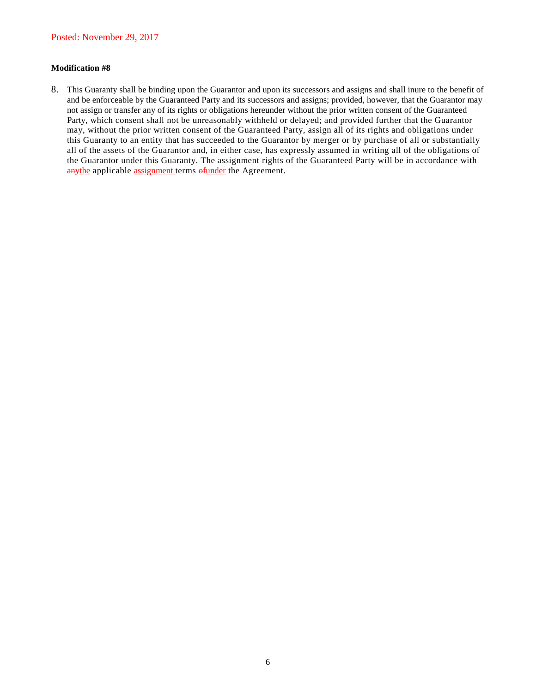## **Modification #8**

8. This Guaranty shall be binding upon the Guarantor and upon its successors and assigns and shall inure to the benefit of and be enforceable by the Guaranteed Party and its successors and assigns; provided, however, that the Guarantor may not assign or transfer any of its rights or obligations hereunder without the prior written consent of the Guaranteed Party, which consent shall not be unreasonably withheld or delayed; and provided further that the Guarantor may, without the prior written consent of the Guaranteed Party, assign all of its rights and obligations under this Guaranty to an entity that has succeeded to the Guarantor by merger or by purchase of all or substantially all of the assets of the Guarantor and, in either case, has expressly assumed in writing all of the obligations of the Guarantor under this Guaranty. The assignment rights of the Guaranteed Party will be in accordance with anythe applicable assignment terms of under the Agreement.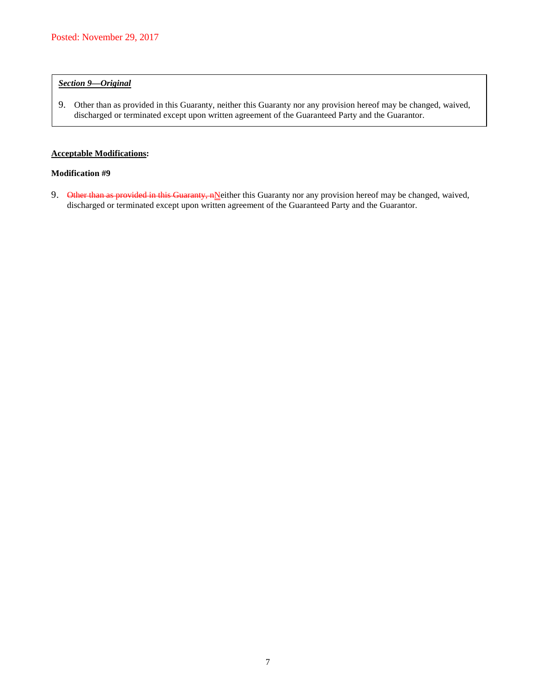## *Section 9—Original*

9. Other than as provided in this Guaranty, neither this Guaranty nor any provision hereof may be changed, waived, discharged or terminated except upon written agreement of the Guaranteed Party and the Guarantor.

## **Acceptable Modifications:**

#### **Modification #9**

9. Other than as provided in this Guaranty, nNeither this Guaranty nor any provision hereof may be changed, waived, discharged or terminated except upon written agreement of the Guaranteed Party and the Guarantor.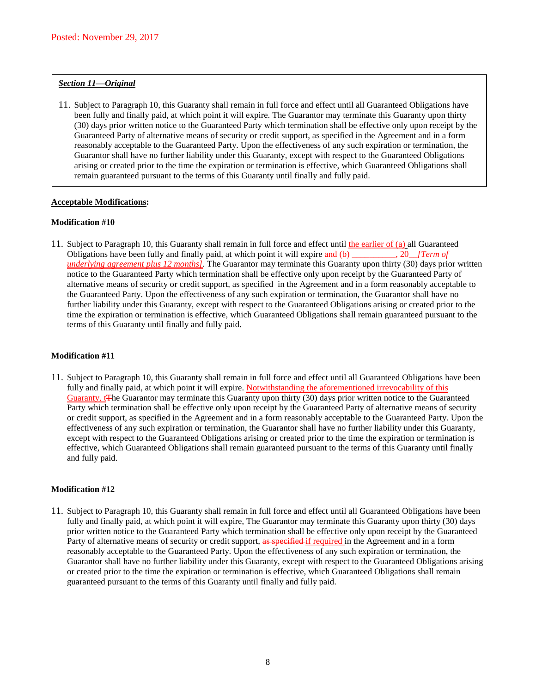#### *Section 11—Original*

11. Subject to Paragraph 10, this Guaranty shall remain in full force and effect until all Guaranteed Obligations have been fully and finally paid, at which point it will expire. The Guarantor may terminate this Guaranty upon thirty (30) days prior written notice to the Guaranteed Party which termination shall be effective only upon receipt by the Guaranteed Party of alternative means of security or credit support, as specified in the Agreement and in a form reasonably acceptable to the Guaranteed Party. Upon the effectiveness of any such expiration or termination, the Guarantor shall have no further liability under this Guaranty, except with respect to the Guaranteed Obligations arising or created prior to the time the expiration or termination is effective, which Guaranteed Obligations shall remain guaranteed pursuant to the terms of this Guaranty until finally and fully paid.

## **Acceptable Modifications:**

#### **Modification #10**

11. Subject to Paragraph 10, this Guaranty shall remain in full force and effect until the earlier of (a) all Guaranteed Obligations have been fully and finally paid, at which point it will expire and (b) 30 [Term of Obligations have been fully and finally paid, at which point it will expire and (b) \_\_\_\_\_\_\_\_ *underlying agreement plus 12 months]*. The Guarantor may terminate this Guaranty upon thirty (30) days prior written notice to the Guaranteed Party which termination shall be effective only upon receipt by the Guaranteed Party of alternative means of security or credit support, as specified in the Agreement and in a form reasonably acceptable to the Guaranteed Party. Upon the effectiveness of any such expiration or termination, the Guarantor shall have no further liability under this Guaranty, except with respect to the Guaranteed Obligations arising or created prior to the time the expiration or termination is effective, which Guaranteed Obligations shall remain guaranteed pursuant to the terms of this Guaranty until finally and fully paid.

#### **Modification #11**

11. Subject to Paragraph 10, this Guaranty shall remain in full force and effect until all Guaranteed Obligations have been fully and finally paid, at which point it will expire. Notwithstanding the aforementioned irrevocability of this Guaranty, t<sub>T</sub>he Guarantor may terminate this Guaranty upon thirty (30) days prior written notice to the Guaranteed Party which termination shall be effective only upon receipt by the Guaranteed Party of alternative means of security or credit support, as specified in the Agreement and in a form reasonably acceptable to the Guaranteed Party. Upon the effectiveness of any such expiration or termination, the Guarantor shall have no further liability under this Guaranty, except with respect to the Guaranteed Obligations arising or created prior to the time the expiration or termination is effective, which Guaranteed Obligations shall remain guaranteed pursuant to the terms of this Guaranty until finally and fully paid.

#### **Modification #12**

11. Subject to Paragraph 10, this Guaranty shall remain in full force and effect until all Guaranteed Obligations have been fully and finally paid, at which point it will expire, The Guarantor may terminate this Guaranty upon thirty (30) days prior written notice to the Guaranteed Party which termination shall be effective only upon receipt by the Guaranteed Party of alternative means of security or credit support, as specified if required in the Agreement and in a form reasonably acceptable to the Guaranteed Party. Upon the effectiveness of any such expiration or termination, the Guarantor shall have no further liability under this Guaranty, except with respect to the Guaranteed Obligations arising or created prior to the time the expiration or termination is effective, which Guaranteed Obligations shall remain guaranteed pursuant to the terms of this Guaranty until finally and fully paid.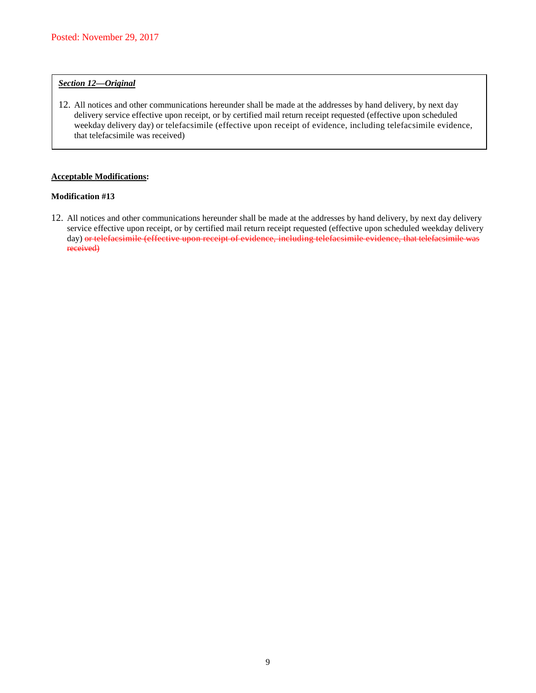#### *Section 12—Original*

12. All notices and other communications hereunder shall be made at the addresses by hand delivery, by next day delivery service effective upon receipt, or by certified mail return receipt requested (effective upon scheduled weekday delivery day) or telefacsimile (effective upon receipt of evidence, including telefacsimile evidence, that telefacsimile was received)

#### **Acceptable Modifications:**

#### **Modification #13**

12. All notices and other communications hereunder shall be made at the addresses by hand delivery, by next day delivery service effective upon receipt, or by certified mail return receipt requested (effective upon scheduled weekday delivery day) or telefacsimile (effective upon receipt of evidence, including telefacsimile evidence, that telefacsimile was received)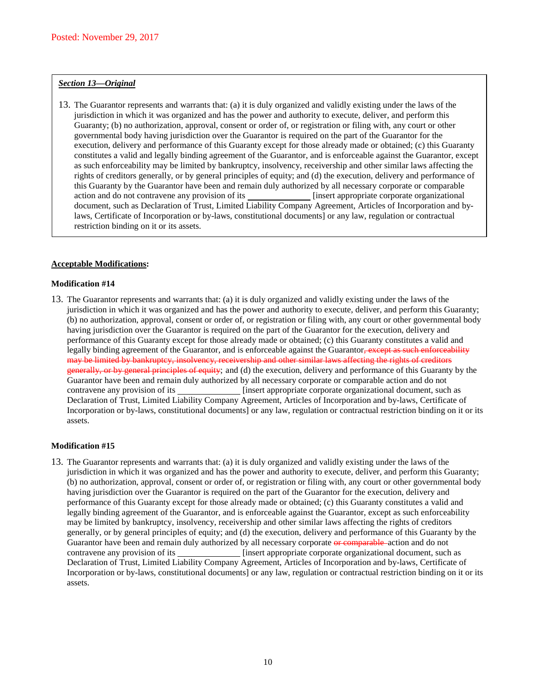#### *Section 13—Original*

13. The Guarantor represents and warrants that: (a) it is duly organized and validly existing under the laws of the jurisdiction in which it was organized and has the power and authority to execute, deliver, and perform this Guaranty; (b) no authorization, approval, consent or order of, or registration or filing with, any court or other governmental body having jurisdiction over the Guarantor is required on the part of the Guarantor for the execution, delivery and performance of this Guaranty except for those already made or obtained; (c) this Guaranty constitutes a valid and legally binding agreement of the Guarantor, and is enforceable against the Guarantor, except as such enforceability may be limited by bankruptcy, insolvency, receivership and other similar laws affecting the rights of creditors generally, or by general principles of equity; and (d) the execution, delivery and performance of this Guaranty by the Guarantor have been and remain duly authorized by all necessary corporate or comparable action and do not contravene any provision of its [insert appropriate corporate organizational] document, such as Declaration of Trust, Limited Liability Company Agreement, Articles of Incorporation and bylaws, Certificate of Incorporation or by-laws, constitutional documents] or any law, regulation or contractual restriction binding on it or its assets.

#### **Acceptable Modifications:**

#### **Modification #14**

13. The Guarantor represents and warrants that: (a) it is duly organized and validly existing under the laws of the jurisdiction in which it was organized and has the power and authority to execute, deliver, and perform this Guaranty; (b) no authorization, approval, consent or order of, or registration or filing with, any court or other governmental body having jurisdiction over the Guarantor is required on the part of the Guarantor for the execution, delivery and performance of this Guaranty except for those already made or obtained; (c) this Guaranty constitutes a valid and legally binding agreement of the Guarantor, and is enforceable against the Guarantor, except as such enforceability may be limited by bankruptcy, insolvency, receivership and other similar laws affecting the rights of creditors generally, or by general principles of equity; and (d) the execution, delivery and performance of this Guaranty by the Guarantor have been and remain duly authorized by all necessary corporate or comparable action and do not contravene any provision of its [insert appropriate corporate organizational document, such as Declaration of Trust, Limited Liability Company Agreement, Articles of Incorporation and by-laws, Certificate of Incorporation or by-laws, constitutional documents] or any law, regulation or contractual restriction binding on it or its assets.

#### **Modification #15**

13. The Guarantor represents and warrants that: (a) it is duly organized and validly existing under the laws of the jurisdiction in which it was organized and has the power and authority to execute, deliver, and perform this Guaranty; (b) no authorization, approval, consent or order of, or registration or filing with, any court or other governmental body having jurisdiction over the Guarantor is required on the part of the Guarantor for the execution, delivery and performance of this Guaranty except for those already made or obtained; (c) this Guaranty constitutes a valid and legally binding agreement of the Guarantor, and is enforceable against the Guarantor, except as such enforceability may be limited by bankruptcy, insolvency, receivership and other similar laws affecting the rights of creditors generally, or by general principles of equity; and (d) the execution, delivery and performance of this Guaranty by the Guarantor have been and remain duly authorized by all necessary corporate or comparable action and do not contravene any provision of its *i***idle** [insert appropriate corporate organizational document, such as Declaration of Trust, Limited Liability Company Agreement, Articles of Incorporation and by-laws, Certificate of Incorporation or by-laws, constitutional documents] or any law, regulation or contractual restriction binding on it or its assets.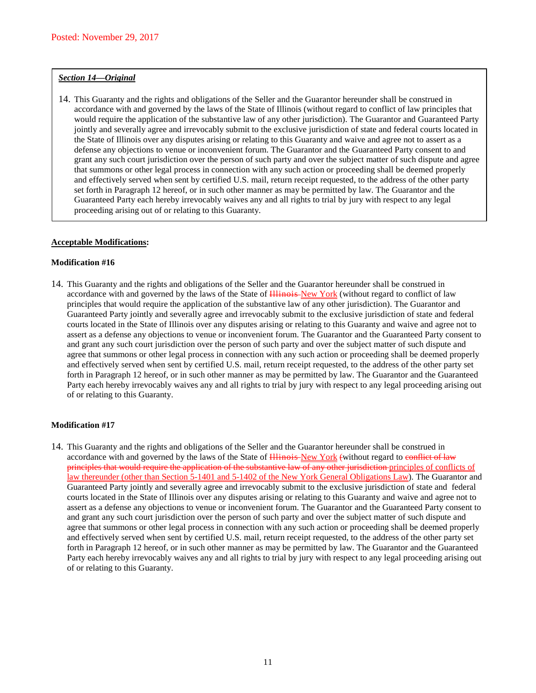#### *Section 14—Original*

14. This Guaranty and the rights and obligations of the Seller and the Guarantor hereunder shall be construed in accordance with and governed by the laws of the State of Illinois (without regard to conflict of law principles that would require the application of the substantive law of any other jurisdiction). The Guarantor and Guaranteed Party jointly and severally agree and irrevocably submit to the exclusive jurisdiction of state and federal courts located in the State of Illinois over any disputes arising or relating to this Guaranty and waive and agree not to assert as a defense any objections to venue or inconvenient forum. The Guarantor and the Guaranteed Party consent to and grant any such court jurisdiction over the person of such party and over the subject matter of such dispute and agree that summons or other legal process in connection with any such action or proceeding shall be deemed properly and effectively served when sent by certified U.S. mail, return receipt requested, to the address of the other party set forth in Paragraph 12 hereof, or in such other manner as may be permitted by law. The Guarantor and the Guaranteed Party each hereby irrevocably waives any and all rights to trial by jury with respect to any legal proceeding arising out of or relating to this Guaranty.

#### **Acceptable Modifications:**

#### **Modification #16**

14. This Guaranty and the rights and obligations of the Seller and the Guarantor hereunder shall be construed in accordance with and governed by the laws of the State of Hinois-New York (without regard to conflict of law principles that would require the application of the substantive law of any other jurisdiction). The Guarantor and Guaranteed Party jointly and severally agree and irrevocably submit to the exclusive jurisdiction of state and federal courts located in the State of Illinois over any disputes arising or relating to this Guaranty and waive and agree not to assert as a defense any objections to venue or inconvenient forum. The Guarantor and the Guaranteed Party consent to and grant any such court jurisdiction over the person of such party and over the subject matter of such dispute and agree that summons or other legal process in connection with any such action or proceeding shall be deemed properly and effectively served when sent by certified U.S. mail, return receipt requested, to the address of the other party set forth in Paragraph 12 hereof, or in such other manner as may be permitted by law. The Guarantor and the Guaranteed Party each hereby irrevocably waives any and all rights to trial by jury with respect to any legal proceeding arising out of or relating to this Guaranty.

#### **Modification #17**

14. This Guaranty and the rights and obligations of the Seller and the Guarantor hereunder shall be construed in accordance with and governed by the laws of the State of Hinois-New York (without regard to conflict of law principles that would require the application of the substantive law of any other jurisdiction principles of conflicts of law thereunder (other than Section 5-1401 and 5-1402 of the New York General Obligations Law). The Guarantor and Guaranteed Party jointly and severally agree and irrevocably submit to the exclusive jurisdiction of state and federal courts located in the State of Illinois over any disputes arising or relating to this Guaranty and waive and agree not to assert as a defense any objections to venue or inconvenient forum. The Guarantor and the Guaranteed Party consent to and grant any such court jurisdiction over the person of such party and over the subject matter of such dispute and agree that summons or other legal process in connection with any such action or proceeding shall be deemed properly and effectively served when sent by certified U.S. mail, return receipt requested, to the address of the other party set forth in Paragraph 12 hereof, or in such other manner as may be permitted by law. The Guarantor and the Guaranteed Party each hereby irrevocably waives any and all rights to trial by jury with respect to any legal proceeding arising out of or relating to this Guaranty.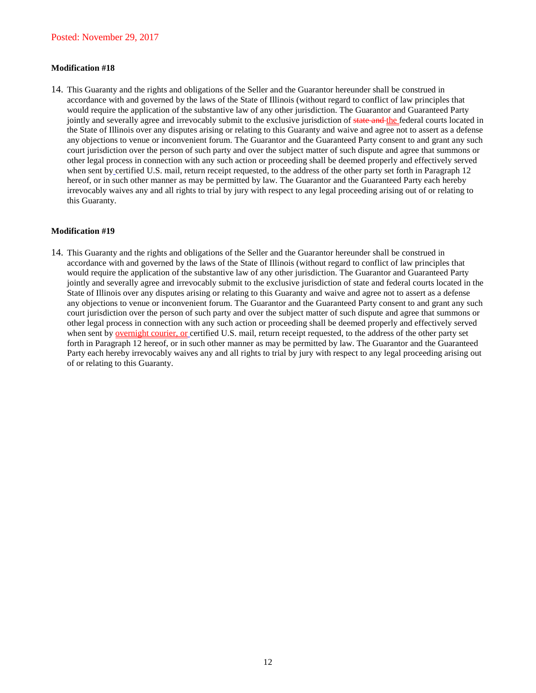#### **Modification #18**

14. This Guaranty and the rights and obligations of the Seller and the Guarantor hereunder shall be construed in accordance with and governed by the laws of the State of Illinois (without regard to conflict of law principles that would require the application of the substantive law of any other jurisdiction. The Guarantor and Guaranteed Party jointly and severally agree and irrevocably submit to the exclusive jurisdiction of state and the federal courts located in the State of Illinois over any disputes arising or relating to this Guaranty and waive and agree not to assert as a defense any objections to venue or inconvenient forum. The Guarantor and the Guaranteed Party consent to and grant any such court jurisdiction over the person of such party and over the subject matter of such dispute and agree that summons or other legal process in connection with any such action or proceeding shall be deemed properly and effectively served when sent by certified U.S. mail, return receipt requested, to the address of the other party set forth in Paragraph 12 hereof, or in such other manner as may be permitted by law. The Guarantor and the Guaranteed Party each hereby irrevocably waives any and all rights to trial by jury with respect to any legal proceeding arising out of or relating to this Guaranty.

#### **Modification #19**

14. This Guaranty and the rights and obligations of the Seller and the Guarantor hereunder shall be construed in accordance with and governed by the laws of the State of Illinois (without regard to conflict of law principles that would require the application of the substantive law of any other jurisdiction. The Guarantor and Guaranteed Party jointly and severally agree and irrevocably submit to the exclusive jurisdiction of state and federal courts located in the State of Illinois over any disputes arising or relating to this Guaranty and waive and agree not to assert as a defense any objections to venue or inconvenient forum. The Guarantor and the Guaranteed Party consent to and grant any such court jurisdiction over the person of such party and over the subject matter of such dispute and agree that summons or other legal process in connection with any such action or proceeding shall be deemed properly and effectively served when sent by <u>overnight courier, or</u> certified U.S. mail, return receipt requested, to the address of the other party set forth in Paragraph 12 hereof, or in such other manner as may be permitted by law. The Guarantor and the Guaranteed Party each hereby irrevocably waives any and all rights to trial by jury with respect to any legal proceeding arising out of or relating to this Guaranty.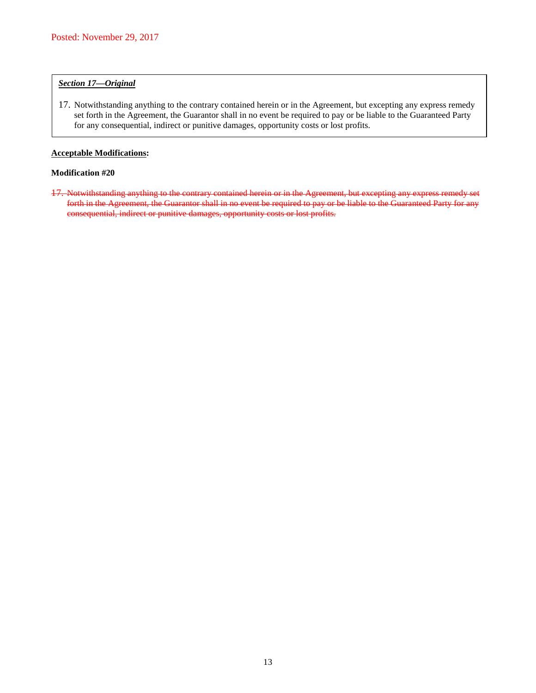#### *Section 17—Original*

17. Notwithstanding anything to the contrary contained herein or in the Agreement, but excepting any express remedy set forth in the Agreement, the Guarantor shall in no event be required to pay or be liable to the Guaranteed Party for any consequential, indirect or punitive damages, opportunity costs or lost profits.

### **Acceptable Modifications:**

## **Modification #20**

17. Notwithstanding anything to the contrary contained herein or in the Agreement, but excepting any express remedy set forth in the Agreement, the Guarantor shall in no event be required to pay or be liable to the Guaranteed Party for any consequential, indirect or punitive damages, opportunity costs or lost profits.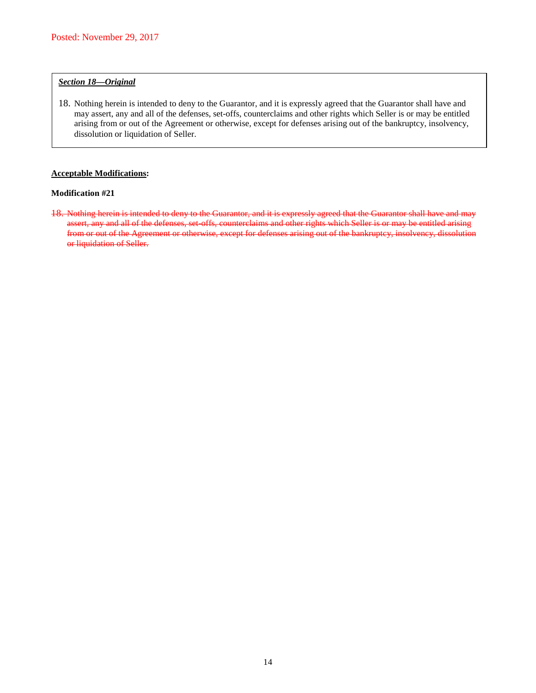## *Section 18—Original*

18. Nothing herein is intended to deny to the Guarantor, and it is expressly agreed that the Guarantor shall have and may assert, any and all of the defenses, set-offs, counterclaims and other rights which Seller is or may be entitled arising from or out of the Agreement or otherwise, except for defenses arising out of the bankruptcy, insolvency, dissolution or liquidation of Seller.

## **Acceptable Modifications:**

## **Modification #21**

18. Nothing herein is intended to deny to the Guarantor, and it is expressly agreed that the Guarantor shall have and may assert, any and all of the defenses, set-offs, counterclaims and other rights which Seller is or may be entitled arising from or out of the Agreement or otherwise, except for defenses arising out of the bankruptcy, insolvency, dissolution or liquidation of Seller.